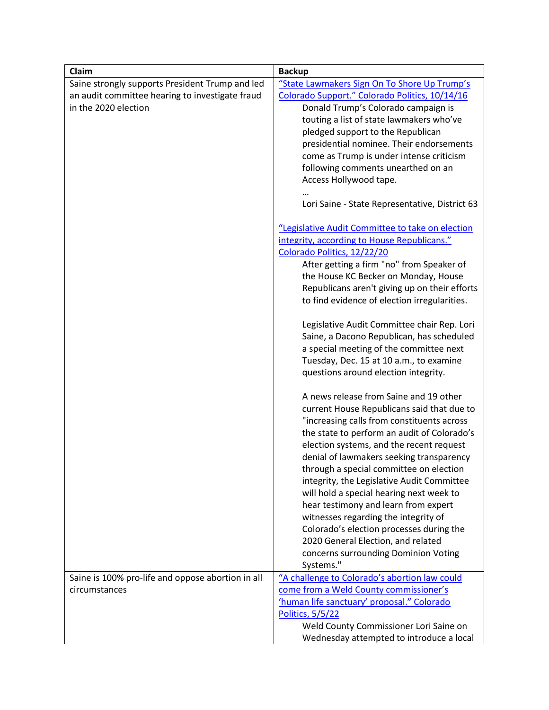| Claim                                             | <b>Backup</b>                                    |
|---------------------------------------------------|--------------------------------------------------|
| Saine strongly supports President Trump and led   | "State Lawmakers Sign On To Shore Up Trump's     |
| an audit committee hearing to investigate fraud   | Colorado Support." Colorado Politics, 10/14/16   |
| in the 2020 election                              | Donald Trump's Colorado campaign is              |
|                                                   | touting a list of state lawmakers who've         |
|                                                   | pledged support to the Republican                |
|                                                   | presidential nominee. Their endorsements         |
|                                                   | come as Trump is under intense criticism         |
|                                                   | following comments unearthed on an               |
|                                                   | Access Hollywood tape.                           |
|                                                   |                                                  |
|                                                   | Lori Saine - State Representative, District 63   |
|                                                   | "Legislative Audit Committee to take on election |
|                                                   | integrity, according to House Republicans."      |
|                                                   | Colorado Politics, 12/22/20                      |
|                                                   | After getting a firm "no" from Speaker of        |
|                                                   | the House KC Becker on Monday, House             |
|                                                   | Republicans aren't giving up on their efforts    |
|                                                   | to find evidence of election irregularities.     |
|                                                   | Legislative Audit Committee chair Rep. Lori      |
|                                                   | Saine, a Dacono Republican, has scheduled        |
|                                                   | a special meeting of the committee next          |
|                                                   | Tuesday, Dec. 15 at 10 a.m., to examine          |
|                                                   | questions around election integrity.             |
|                                                   | A news release from Saine and 19 other           |
|                                                   | current House Republicans said that due to       |
|                                                   | "increasing calls from constituents across       |
|                                                   | the state to perform an audit of Colorado's      |
|                                                   | election systems, and the recent request         |
|                                                   | denial of lawmakers seeking transparency         |
|                                                   | through a special committee on election          |
|                                                   | integrity, the Legislative Audit Committee       |
|                                                   | will hold a special hearing next week to         |
|                                                   | hear testimony and learn from expert             |
|                                                   | witnesses regarding the integrity of             |
|                                                   | Colorado's election processes during the         |
|                                                   | 2020 General Election, and related               |
|                                                   | concerns surrounding Dominion Voting             |
|                                                   | Systems."                                        |
| Saine is 100% pro-life and oppose abortion in all | "A challenge to Colorado's abortion law could    |
| circumstances                                     | come from a Weld County commissioner's           |
|                                                   | 'human life sanctuary' proposal." Colorado       |
|                                                   | <b>Politics, 5/5/22</b>                          |
|                                                   | Weld County Commissioner Lori Saine on           |
|                                                   | Wednesday attempted to introduce a local         |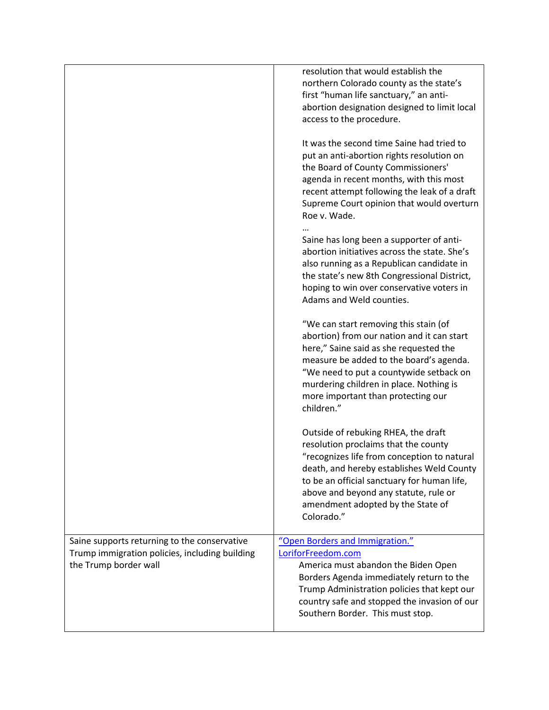|                                                                                                                         | resolution that would establish the<br>northern Colorado county as the state's<br>first "human life sanctuary," an anti-<br>abortion designation designed to limit local<br>access to the procedure.                                                                                                               |
|-------------------------------------------------------------------------------------------------------------------------|--------------------------------------------------------------------------------------------------------------------------------------------------------------------------------------------------------------------------------------------------------------------------------------------------------------------|
|                                                                                                                         | It was the second time Saine had tried to<br>put an anti-abortion rights resolution on<br>the Board of County Commissioners'<br>agenda in recent months, with this most<br>recent attempt following the leak of a draft<br>Supreme Court opinion that would overturn<br>Roe v. Wade.                               |
|                                                                                                                         | Saine has long been a supporter of anti-<br>abortion initiatives across the state. She's<br>also running as a Republican candidate in<br>the state's new 8th Congressional District,<br>hoping to win over conservative voters in<br>Adams and Weld counties.                                                      |
|                                                                                                                         | "We can start removing this stain (of<br>abortion) from our nation and it can start<br>here," Saine said as she requested the<br>measure be added to the board's agenda.<br>"We need to put a countywide setback on<br>murdering children in place. Nothing is<br>more important than protecting our<br>children." |
|                                                                                                                         | Outside of rebuking RHEA, the draft<br>resolution proclaims that the county<br>"recognizes life from conception to natural<br>death, and hereby establishes Weld County<br>to be an official sanctuary for human life,<br>above and beyond any statute, rule or<br>amendment adopted by the State of<br>Colorado." |
| Saine supports returning to the conservative<br>Trump immigration policies, including building<br>the Trump border wall | "Open Borders and Immigration."<br>LoriforFreedom.com<br>America must abandon the Biden Open<br>Borders Agenda immediately return to the<br>Trump Administration policies that kept our<br>country safe and stopped the invasion of our<br>Southern Border. This must stop.                                        |